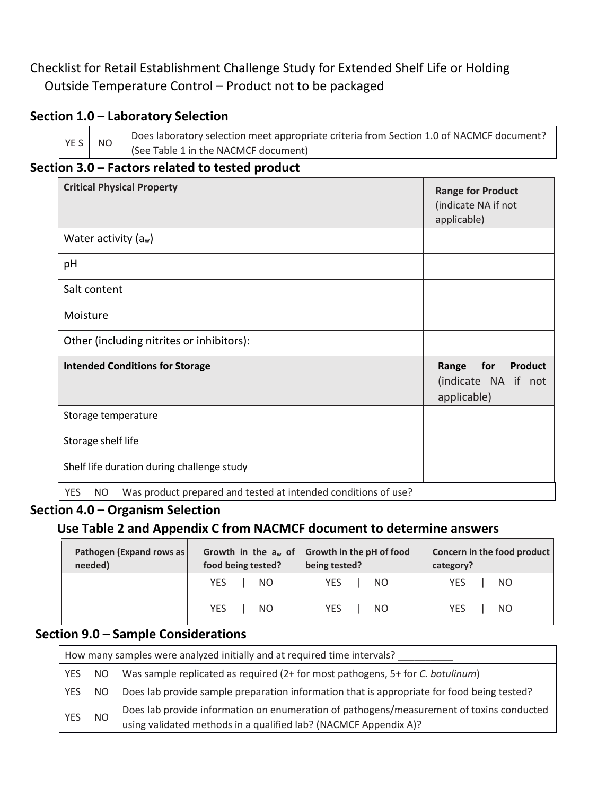# Checklist for Retail Establishment Challenge Study for Extended Shelf Life or Holding Outside Temperature Control – Product not to be packaged

## **Section 1.0 – Laboratory Selection**

YES NO

Does laboratory selection meet appropriate criteria from Section 1.0 of NACMCF document? (See Table 1 in the NACMCF document)

## **Section 3.0 – Factors related to tested product**

| <b>Critical Physical Property</b>          |              |                                                                | <b>Range for Product</b><br>(indicate NA if not<br>applicable) |
|--------------------------------------------|--------------|----------------------------------------------------------------|----------------------------------------------------------------|
|                                            |              | Water activity $(a_w)$                                         |                                                                |
| pH                                         |              |                                                                |                                                                |
|                                            | Salt content |                                                                |                                                                |
| Moisture                                   |              |                                                                |                                                                |
| Other (including nitrites or inhibitors):  |              |                                                                |                                                                |
| <b>Intended Conditions for Storage</b>     |              |                                                                | for<br>Range<br>Product<br>(indicate NA if not<br>applicable)  |
| Storage temperature                        |              |                                                                |                                                                |
| Storage shelf life                         |              |                                                                |                                                                |
| Shelf life duration during challenge study |              |                                                                |                                                                |
| <b>YES</b>                                 | <b>NO</b>    | Was product prepared and tested at intended conditions of use? |                                                                |

#### **Section 4.0 – Organism Selection**

## **Use Table 2 and Appendix C from NACMCF document to determine answers**

| Pathogen (Expand rows as | Growth in the $a_w$ of | Growth in the pH of food | Concern in the food product |
|--------------------------|------------------------|--------------------------|-----------------------------|
| needed)                  | food being tested?     | being tested?            | category?                   |
|                          | YES.                   | YES.                     | YES.                        |
|                          | <b>NO</b>              | NO                       | NO.                         |
|                          | <b>YES</b>             | <b>YES</b>               | <b>YES</b>                  |
|                          | <b>NO</b>              | NO                       | NO.                         |

### **Section 9.0 – Sample Considerations**

| How many samples were analyzed initially and at required time intervals? |     |                                                                                                                                                              |  |
|--------------------------------------------------------------------------|-----|--------------------------------------------------------------------------------------------------------------------------------------------------------------|--|
| <b>YES</b>                                                               | NO. | Was sample replicated as required (2+ for most pathogens, 5+ for C. botulinum)                                                                               |  |
| <b>YES</b>                                                               | NO. | Does lab provide sample preparation information that is appropriate for food being tested?                                                                   |  |
| <b>YES</b>                                                               | NO. | Does lab provide information on enumeration of pathogens/measurement of toxins conducted<br>using validated methods in a qualified lab? (NACMCF Appendix A)? |  |